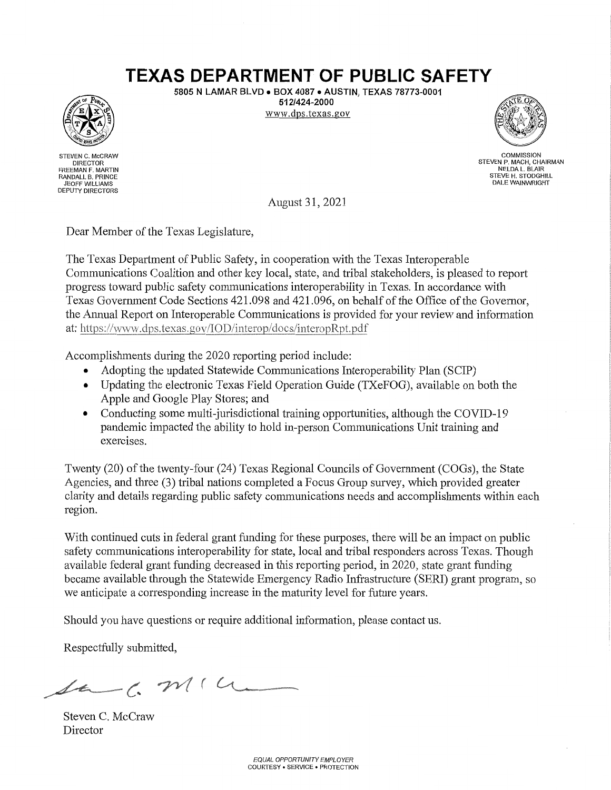## **TEXAS DEPARTMENT OF PUBLIC SAFETY**

5805 N LAMAR BLVD . BOX 4087 . AUSTIN, TEXAS 78773-0001 512/424-2000 www.dps.texas.gov



STEVEN C. McCRAW DIRECTOR<br>FREEMAN F. MARTIN RANDALL B. PRINCE JEOFF WILLIAMS **DEPUTY DIRECTORS** 



**COMMISSION** STEVEN P. MACH, CHAIRMAN STEVE H. STODGHILL **DALE WAINWRIGHT** 

August 31, 2021

Dear Member of the Texas Legislature,

The Texas Department of Public Safety, in cooperation with the Texas Interoperable Communications Coalition and other key local, state, and tribal stakeholders, is pleased to report progress toward public safety communications interoperability in Texas. In accordance with Texas Government Code Sections 421.098 and 421.096, on behalf of the Office of the Governor, the Annual Report on Interoperable Communications is provided for your review and information at: https://www.dps.texas.gov/IOD/interop/docs/interopRpt.pdf

Accomplishments during the 2020 reporting period include:

- Adopting the updated Statewide Communications Interoperability Plan (SCIP)
- Updating the electronic Texas Field Operation Guide (TXeFOG), available on both the Apple and Google Play Stores; and
- Conducting some multi-jurisdictional training opportunities, although the COVID-19 pandemic impacted the ability to hold in-person Communications Unit training and exercises.

Twenty (20) of the twenty-four (24) Texas Regional Councils of Government (COGs), the State Agencies, and three (3) tribal nations completed a Focus Group survey, which provided greater clarity and details regarding public safety communications needs and accomplishments within each region.

With continued cuts in federal grant funding for these purposes, there will be an impact on public safety communications interoperability for state, local and tribal responders across Texas. Though available federal grant funding decreased in this reporting period, in 2020, state grant funding became available through the Statewide Emergency Radio Infrastructure (SERI) grant program, so we anticipate a corresponding increase in the maturity level for future years.

Should you have questions or require additional information, please contact us.

Respectfully submitted,

 $44 - 6.2114$ 

Steven C. McCraw Director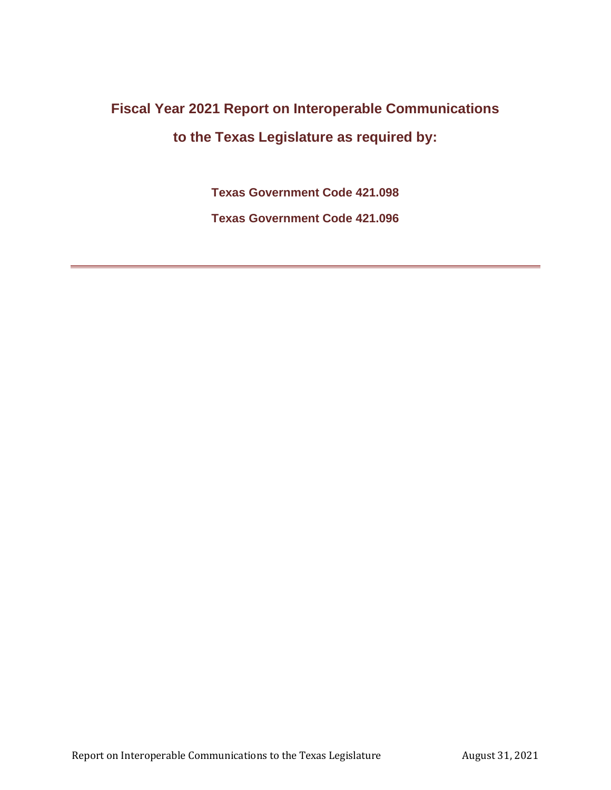# **Fiscal Year 2021 Report on Interoperable Communications to the Texas Legislature as required by:**

**Texas Government Code 421.098**

**Texas Government Code 421.096**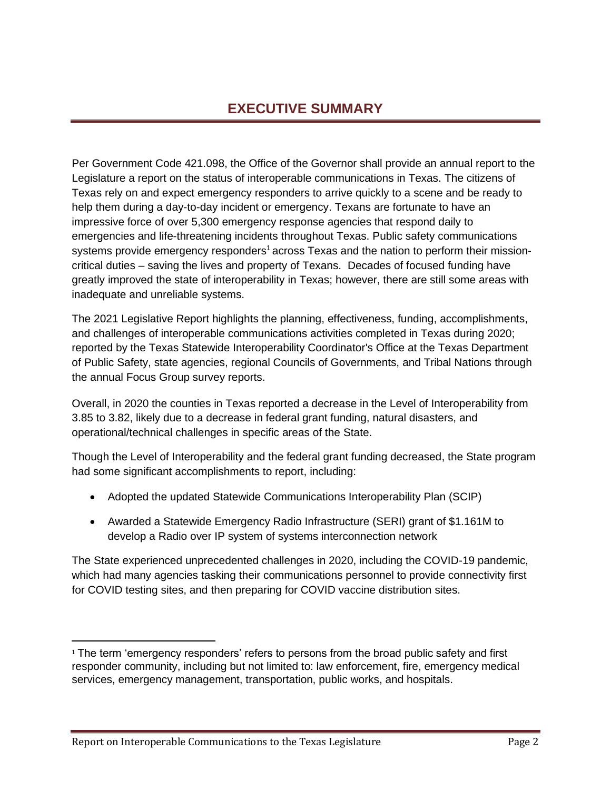## **EXECUTIVE SUMMARY**

Per Government Code 421.098, the Office of the Governor shall provide an annual report to the Legislature a report on the status of interoperable communications in Texas. The citizens of Texas rely on and expect emergency responders to arrive quickly to a scene and be ready to help them during a day-to-day incident or emergency. Texans are fortunate to have an impressive force of over 5,300 emergency response agencies that respond daily to emergencies and life-threatening incidents throughout Texas. Public safety communications systems provide emergency responders<sup>1</sup> across Texas and the nation to perform their missioncritical duties – saving the lives and property of Texans. Decades of focused funding have greatly improved the state of interoperability in Texas; however, there are still some areas with inadequate and unreliable systems.

The 2021 Legislative Report highlights the planning, effectiveness, funding, accomplishments, and challenges of interoperable communications activities completed in Texas during 2020; reported by the Texas Statewide Interoperability Coordinator's Office at the Texas Department of Public Safety, state agencies, regional Councils of Governments, and Tribal Nations through the annual Focus Group survey reports.

Overall, in 2020 the counties in Texas reported a decrease in the Level of Interoperability from 3.85 to 3.82, likely due to a decrease in federal grant funding, natural disasters, and operational/technical challenges in specific areas of the State.

Though the Level of Interoperability and the federal grant funding decreased, the State program had some significant accomplishments to report, including:

- Adopted the updated Statewide Communications Interoperability Plan (SCIP)
- Awarded a Statewide Emergency Radio Infrastructure (SERI) grant of \$1.161M to develop a Radio over IP system of systems interconnection network

The State experienced unprecedented challenges in 2020, including the COVID-19 pandemic, which had many agencies tasking their communications personnel to provide connectivity first for COVID testing sites, and then preparing for COVID vaccine distribution sites.

 $1$  The term 'emergency responders' refers to persons from the broad public safety and first responder community, including but not limited to: law enforcement, fire, emergency medical services, emergency management, transportation, public works, and hospitals.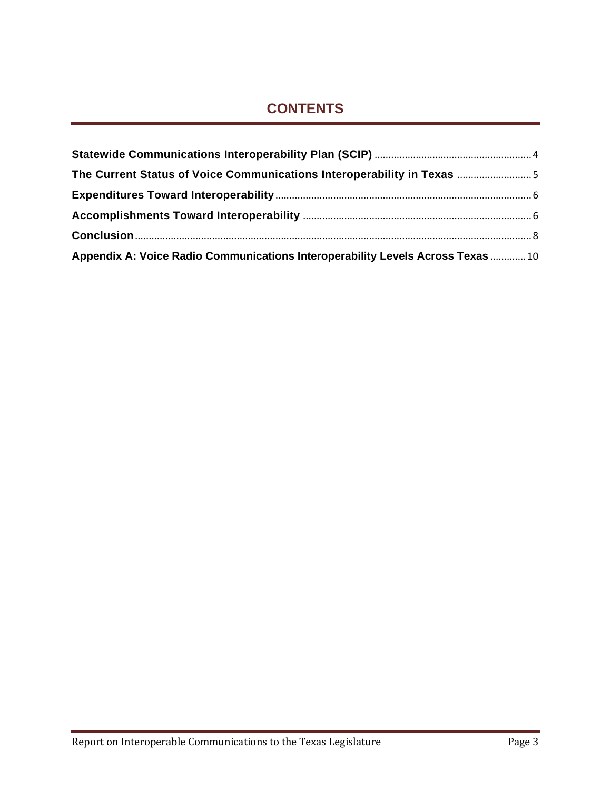## **CONTENTS**

| The Current Status of Voice Communications Interoperability in Texas 5          |  |
|---------------------------------------------------------------------------------|--|
|                                                                                 |  |
|                                                                                 |  |
|                                                                                 |  |
| Appendix A: Voice Radio Communications Interoperability Levels Across Texas  10 |  |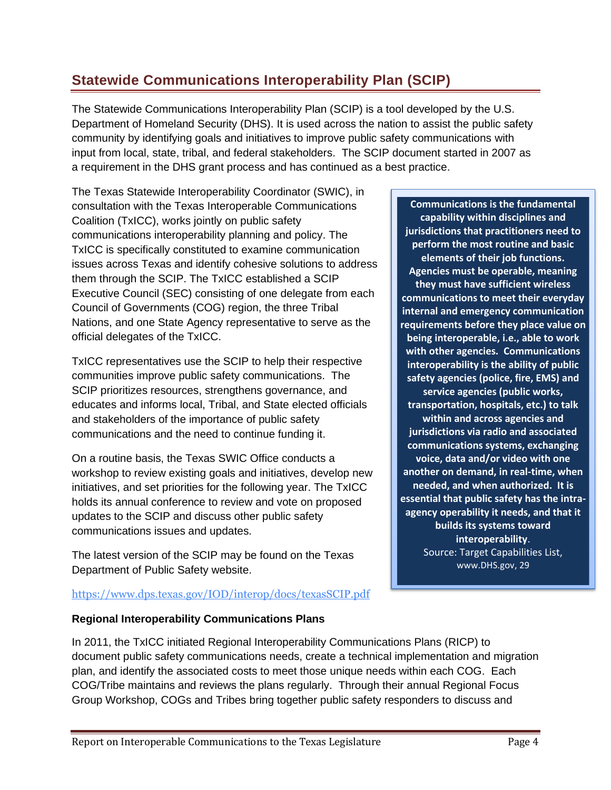## <span id="page-4-0"></span>**Statewide Communications Interoperability Plan (SCIP)**

The Statewide Communications Interoperability Plan (SCIP) is a tool developed by the U.S. Department of Homeland Security (DHS). It is used across the nation to assist the public safety community by identifying goals and initiatives to improve public safety communications with input from local, state, tribal, and federal stakeholders. The SCIP document started in 2007 as a requirement in the DHS grant process and has continued as a best practice.

The Texas Statewide Interoperability Coordinator (SWIC), in consultation with the Texas Interoperable Communications Coalition (TxICC), works jointly on public safety communications interoperability planning and policy. The TxICC is specifically constituted to examine communication issues across Texas and identify cohesive solutions to address them through the SCIP. The TxICC established a SCIP Executive Council (SEC) consisting of one delegate from each Council of Governments (COG) region, the three Tribal Nations, and one State Agency representative to serve as the official delegates of the TxICC.

TxICC representatives use the SCIP to help their respective communities improve public safety communications. The SCIP prioritizes resources, strengthens governance, and educates and informs local, Tribal, and State elected officials and stakeholders of the importance of public safety communications and the need to continue funding it.

On a routine basis, the Texas SWIC Office conducts a workshop to review existing goals and initiatives, develop new initiatives, and set priorities for the following year. The TxICC holds its annual conference to review and vote on proposed updates to the SCIP and discuss other public safety communications issues and updates.

The latest version of the SCIP may be found on the Texas Department of Public Safety website.

**Communications is the fundamental capability within disciplines and jurisdictions that practitioners need to perform the most routine and basic elements of their job functions. Agencies must be operable, meaning they must have sufficient wireless communications to meet their everyday internal and emergency communication requirements before they place value on being interoperable, i.e., able to work with other agencies. Communications interoperability is the ability of public safety agencies (police, fire, EMS) and service agencies (public works, transportation, hospitals, etc.) to talk within and across agencies and jurisdictions via radio and associated communications systems, exchanging voice, data and/or video with one another on demand, in real-time, when needed, and when authorized. It is essential that public safety has the intraagency operability it needs, and that it builds its systems toward interoperability**. Source: Target Capabilities List, [www.DHS.gov,](http://www.dhs.gov/) 29

#### <https://www.dps.texas.gov/IOD/interop/docs/texasSCIP.pdf>

#### **Regional Interoperability Communications Plans**

In 2011, the TxICC initiated Regional Interoperability Communications Plans (RICP) to document public safety communications needs, create a technical implementation and migration plan, and identify the associated costs to meet those unique needs within each COG. Each COG/Tribe maintains and reviews the plans regularly. Through their annual Regional Focus Group Workshop, COGs and Tribes bring together public safety responders to discuss and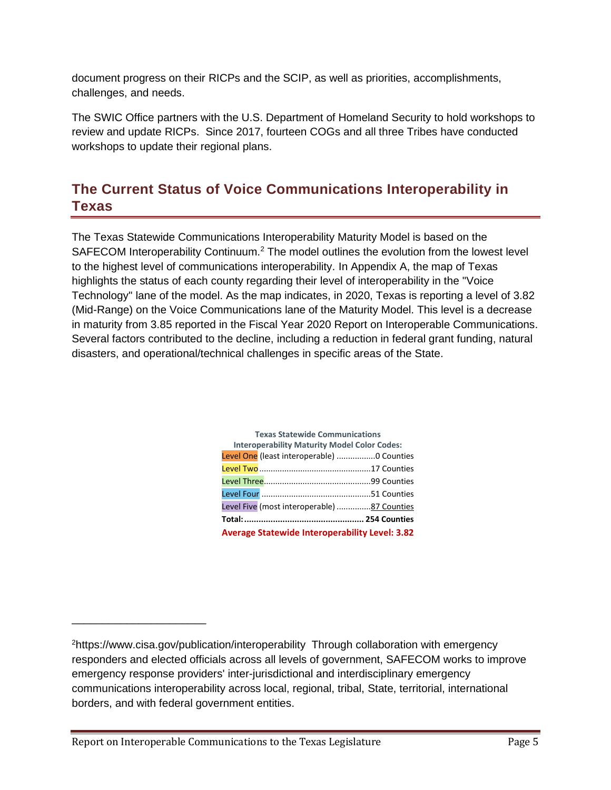document progress on their RICPs and the SCIP, as well as priorities, accomplishments, challenges, and needs.

The SWIC Office partners with the U.S. Department of Homeland Security to hold workshops to review and update RICPs. Since 2017, fourteen COGs and all three Tribes have conducted workshops to update their regional plans.

## <span id="page-5-0"></span>**The Current Status of Voice Communications Interoperability in Texas**

The Texas Statewide Communications Interoperability Maturity Model is based on the SAFECOM Interoperability Continuum.<sup>2</sup> The model outlines the evolution from the lowest level to the highest level of communications interoperability. In Appendix A, the map of Texas highlights the status of each county regarding their level of interoperability in the "Voice Technology" lane of the model. As the map indicates, in 2020, Texas is reporting a level of 3.82 (Mid-Range) on the Voice Communications lane of the Maturity Model. This level is a decrease in maturity from 3.85 reported in the Fiscal Year 2020 Report on Interoperable Communications. Several factors contributed to the decline, including a reduction in federal grant funding, natural disasters, and operational/technical challenges in specific areas of the State.

| <b>Texas Statewide Communications</b>                 |  |  |  |  |  |
|-------------------------------------------------------|--|--|--|--|--|
| <b>Interoperability Maturity Model Color Codes:</b>   |  |  |  |  |  |
| Level One (least interoperable)  O Counties           |  |  |  |  |  |
|                                                       |  |  |  |  |  |
|                                                       |  |  |  |  |  |
|                                                       |  |  |  |  |  |
| Level Five (most interoperable) 87 Counties           |  |  |  |  |  |
|                                                       |  |  |  |  |  |
| <b>Average Statewide Interoperability Level: 3.82</b> |  |  |  |  |  |

\_\_\_\_\_\_\_\_\_\_\_\_\_\_\_\_\_\_\_\_\_\_

<sup>2</sup>https://www.cisa.gov/publication/interoperability Through collaboration with emergency responders and elected officials across all levels of government, SAFECOM works to improve emergency response providers' inter-jurisdictional and interdisciplinary emergency communications interoperability across local, regional, tribal, State, territorial, international borders, and with federal government entities.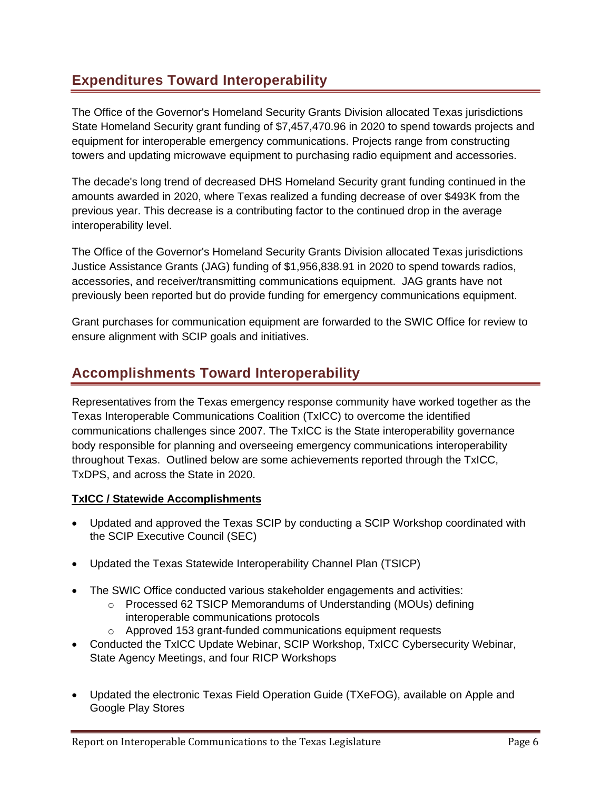## <span id="page-6-0"></span>**Expenditures Toward Interoperability**

The Office of the Governor's Homeland Security Grants Division allocated Texas jurisdictions State Homeland Security grant funding of \$7,457,470.96 in 2020 to spend towards projects and equipment for interoperable emergency communications. Projects range from constructing towers and updating microwave equipment to purchasing radio equipment and accessories.

The decade's long trend of decreased DHS Homeland Security grant funding continued in the amounts awarded in 2020, where Texas realized a funding decrease of over \$493K from the previous year. This decrease is a contributing factor to the continued drop in the average interoperability level.

The Office of the Governor's Homeland Security Grants Division allocated Texas jurisdictions Justice Assistance Grants (JAG) funding of \$1,956,838.91 in 2020 to spend towards radios, accessories, and receiver/transmitting communications equipment. JAG grants have not previously been reported but do provide funding for emergency communications equipment.

Grant purchases for communication equipment are forwarded to the SWIC Office for review to ensure alignment with SCIP goals and initiatives.

## <span id="page-6-1"></span>**Accomplishments Toward Interoperability**

Representatives from the Texas emergency response community have worked together as the Texas Interoperable Communications Coalition (TxICC) to overcome the identified communications challenges since 2007. The TxICC is the State interoperability governance body responsible for planning and overseeing emergency communications interoperability throughout Texas. Outlined below are some achievements reported through the TxICC, TxDPS, and across the State in 2020.

#### **TxICC / Statewide Accomplishments**

- Updated and approved the Texas SCIP by conducting a SCIP Workshop coordinated with the SCIP Executive Council (SEC)
- Updated the Texas Statewide Interoperability Channel Plan (TSICP)
- The SWIC Office conducted various stakeholder engagements and activities:
	- o Processed 62 TSICP Memorandums of Understanding (MOUs) defining interoperable communications protocols
	- o Approved 153 grant-funded communications equipment requests
- Conducted the TxICC Update Webinar, SCIP Workshop, TxICC Cybersecurity Webinar, State Agency Meetings, and four RICP Workshops
- Updated the electronic Texas Field Operation Guide (TXeFOG), available on Apple and Google Play Stores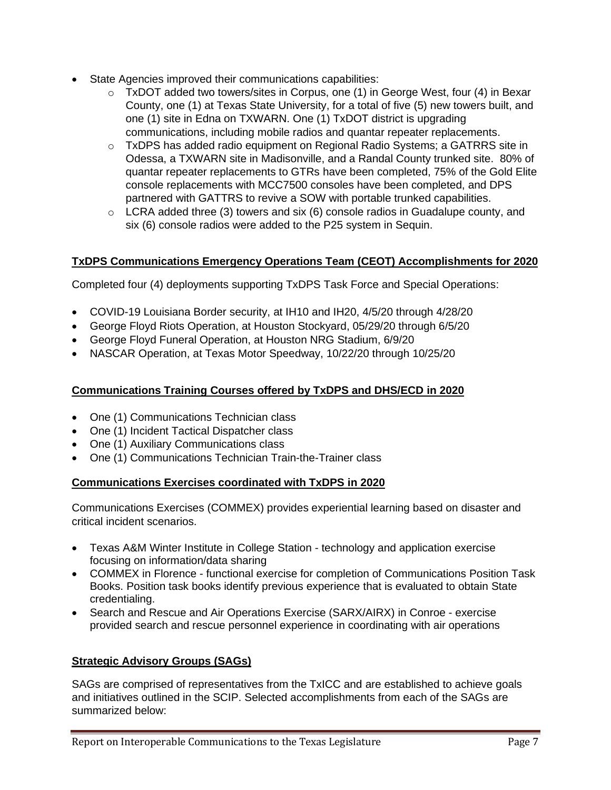- State Agencies improved their communications capabilities:
	- $\circ$  TxDOT added two towers/sites in Corpus, one (1) in George West, four (4) in Bexar County, one (1) at Texas State University, for a total of five (5) new towers built, and one (1) site in Edna on TXWARN. One (1) TxDOT district is upgrading communications, including mobile radios and quantar repeater replacements.
	- o TxDPS has added radio equipment on Regional Radio Systems; a GATRRS site in Odessa, a TXWARN site in Madisonville, and a Randal County trunked site. 80% of quantar repeater replacements to GTRs have been completed, 75% of the Gold Elite console replacements with MCC7500 consoles have been completed, and DPS partnered with GATTRS to revive a SOW with portable trunked capabilities.
	- $\circ$  LCRA added three (3) towers and six (6) console radios in Guadalupe county, and six (6) console radios were added to the P25 system in Sequin.

#### **TxDPS Communications Emergency Operations Team (CEOT) Accomplishments for 2020**

Completed four (4) deployments supporting TxDPS Task Force and Special Operations:

- COVID-19 Louisiana Border security, at IH10 and IH20, 4/5/20 through 4/28/20
- George Floyd Riots Operation, at Houston Stockyard, 05/29/20 through 6/5/20
- George Floyd Funeral Operation, at Houston NRG Stadium, 6/9/20
- NASCAR Operation, at Texas Motor Speedway, 10/22/20 through 10/25/20

#### **Communications Training Courses offered by TxDPS and DHS/ECD in 2020**

- One (1) Communications Technician class
- One (1) Incident Tactical Dispatcher class
- One (1) Auxiliary Communications class
- One (1) Communications Technician Train-the-Trainer class

#### **Communications Exercises coordinated with TxDPS in 2020**

Communications Exercises (COMMEX) provides experiential learning based on disaster and critical incident scenarios.

- Texas A&M Winter Institute in College Station technology and application exercise focusing on information/data sharing
- COMMEX in Florence functional exercise for completion of Communications Position Task Books. Position task books identify previous experience that is evaluated to obtain State credentialing.
- Search and Rescue and Air Operations Exercise (SARX/AIRX) in Conroe exercise provided search and rescue personnel experience in coordinating with air operations

#### **Strategic Advisory Groups (SAGs)**

SAGs are comprised of representatives from the TxICC and are established to achieve goals and initiatives outlined in the SCIP. Selected accomplishments from each of the SAGs are summarized below: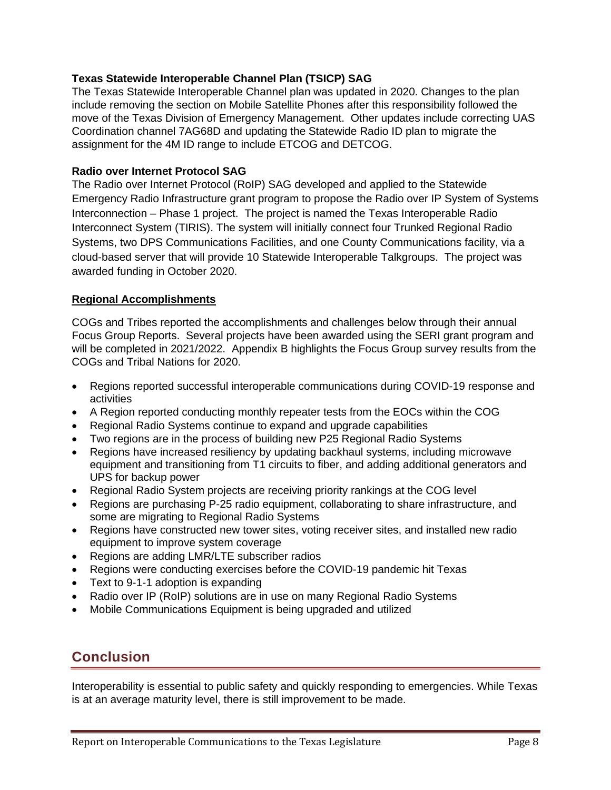#### **Texas Statewide Interoperable Channel Plan (TSICP) SAG**

The Texas Statewide Interoperable Channel plan was updated in 2020. Changes to the plan include removing the section on Mobile Satellite Phones after this responsibility followed the move of the Texas Division of Emergency Management. Other updates include correcting UAS Coordination channel 7AG68D and updating the Statewide Radio ID plan to migrate the assignment for the 4M ID range to include ETCOG and DETCOG.

#### **Radio over Internet Protocol SAG**

The Radio over Internet Protocol (RoIP) SAG developed and applied to the Statewide Emergency Radio Infrastructure grant program to propose the Radio over IP System of Systems Interconnection – Phase 1 project. The project is named the Texas Interoperable Radio Interconnect System (TIRIS). The system will initially connect four Trunked Regional Radio Systems, two DPS Communications Facilities, and one County Communications facility, via a cloud-based server that will provide 10 Statewide Interoperable Talkgroups. The project was awarded funding in October 2020.

#### **Regional Accomplishments**

COGs and Tribes reported the accomplishments and challenges below through their annual Focus Group Reports. Several projects have been awarded using the SERI grant program and will be completed in 2021/2022. Appendix B highlights the Focus Group survey results from the COGs and Tribal Nations for 2020.

- Regions reported successful interoperable communications during COVID-19 response and activities
- A Region reported conducting monthly repeater tests from the EOCs within the COG
- Regional Radio Systems continue to expand and upgrade capabilities
- Two regions are in the process of building new P25 Regional Radio Systems
- Regions have increased resiliency by updating backhaul systems, including microwave equipment and transitioning from T1 circuits to fiber, and adding additional generators and UPS for backup power
- Regional Radio System projects are receiving priority rankings at the COG level
- Regions are purchasing P-25 radio equipment, collaborating to share infrastructure, and some are migrating to Regional Radio Systems
- Regions have constructed new tower sites, voting receiver sites, and installed new radio equipment to improve system coverage
- Regions are adding LMR/LTE subscriber radios
- Regions were conducting exercises before the COVID-19 pandemic hit Texas
- Text to 9-1-1 adoption is expanding
- Radio over IP (RoIP) solutions are in use on many Regional Radio Systems
- Mobile Communications Equipment is being upgraded and utilized

### <span id="page-8-0"></span>**Conclusion**

Interoperability is essential to public safety and quickly responding to emergencies. While Texas is at an average maturity level, there is still improvement to be made.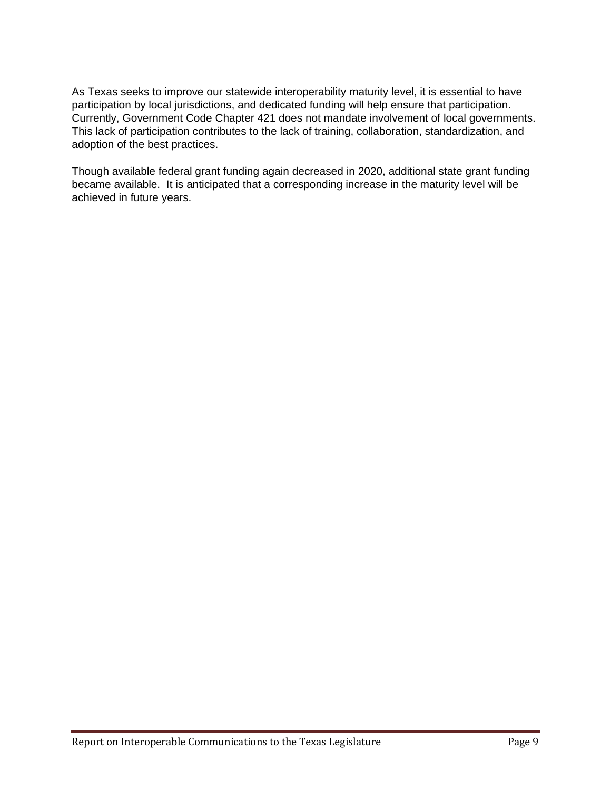As Texas seeks to improve our statewide interoperability maturity level, it is essential to have participation by local jurisdictions, and dedicated funding will help ensure that participation. Currently, Government Code Chapter 421 does not mandate involvement of local governments. This lack of participation contributes to the lack of training, collaboration, standardization, and adoption of the best practices.

Though available federal grant funding again decreased in 2020, additional state grant funding became available. It is anticipated that a corresponding increase in the maturity level will be achieved in future years.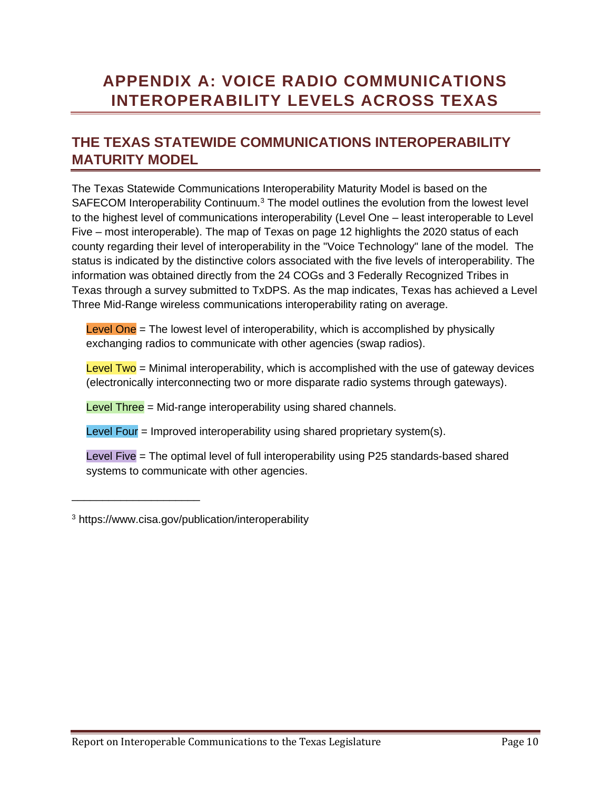## <span id="page-10-0"></span>**APPENDIX A: VOICE RADIO COMMUNICATIONS INTEROPERABILITY LEVELS ACROSS TEXAS**

### **THE TEXAS STATEWIDE COMMUNICATIONS INTEROPERABILITY MATURITY MODEL**

The Texas Statewide Communications Interoperability Maturity Model is based on the SAFECOM Interoperability Continuum.<sup>3</sup> The model outlines the evolution from the lowest level to the highest level of communications interoperability (Level One – least interoperable to Level Five – most interoperable). The map of Texas on page 12 highlights the 2020 status of each county regarding their level of interoperability in the "Voice Technology" lane of the model. The status is indicated by the distinctive colors associated with the five levels of interoperability. The information was obtained directly from the 24 COGs and 3 Federally Recognized Tribes in Texas through a survey submitted to TxDPS. As the map indicates, Texas has achieved a Level Three Mid-Range wireless communications interoperability rating on average.

Level One  $=$  The lowest level of interoperability, which is accomplished by physically exchanging radios to communicate with other agencies (swap radios).

 $Level Two =$  Minimal interoperability, which is accomplished with the use of gateway devices (electronically interconnecting two or more disparate radio systems through gateways).

Level Three = Mid-range interoperability using shared channels.

Level Four  $=$  Improved interoperability using shared proprietary system(s).

Level Five = The optimal level of full interoperability using P25 standards-based shared systems to communicate with other agencies.

\_\_\_\_\_\_\_\_\_\_\_\_\_\_\_\_\_\_\_\_\_

<sup>3</sup> https://www.cisa.gov/publication/interoperability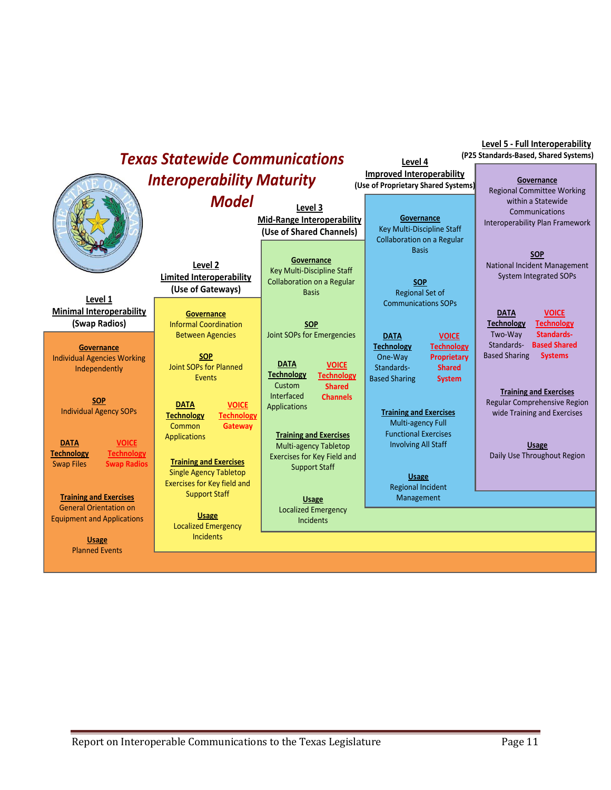| <b>Improved Interoperability</b><br><b>Interoperability Maturity</b><br>Governance<br>(Use of Proprietary Shared Systems)<br><b>Regional Committee Working</b><br><b>Model</b><br>within a Statewide<br>Level 3<br>Communications<br>Governance<br><b>Mid-Range Interoperability</b><br>Key Multi-Discipline Staff<br>(Use of Shared Channels)<br><b>Collaboration on a Regular</b><br><b>Basis</b><br><b>SOP</b><br>Governance<br>Level 2<br>National Incident Management<br>Key Multi-Discipline Staff<br><b>System Integrated SOPs</b><br><b>Limited Interoperability</b><br><b>Collaboration on a Regular</b><br><b>SOP</b><br>(Use of Gateways)<br><b>Basis</b><br><b>Regional Set of</b><br>Level 1<br><b>Communications SOPs</b><br><b>Minimal Interoperability</b><br><b>VOICE</b><br><b>DATA</b><br>Governance<br>(Swap Radios)<br><b>Informal Coordination</b><br><b>Technology</b><br><b>Technology</b><br><b>SOP</b><br><b>Standards-</b><br>Joint SOPs for Emergencies<br>Two-Way<br><b>Between Agencies</b><br><b>VOICE</b><br><b>DATA</b><br><b>Based Shared</b><br>Standards-<br><b>Technology</b><br>Technology<br>Governance<br><b>Based Sharing</b><br><b>Systems</b><br><b>SOP</b><br><b>Proprietary</b><br>One-Way<br><b>Individual Agencies Working</b><br><b>DATA</b><br><b>VOICE</b><br><b>Joint SOPs for Planned</b><br>Standards-<br><b>Shared</b><br>Independently<br><b>Technology</b><br><b>Technology</b><br><b>Events</b><br><b>Based Sharing</b><br><b>System</b><br>Custom<br><b>Shared</b><br><b>Training and Exercises</b><br><b>Interfaced</b><br><b>Channels</b><br><b>SOP</b><br>Regular Comprehensive Region<br><b>DATA</b><br><b>VOICE</b><br><b>Applications</b><br><b>Individual Agency SOPs</b><br><b>Training and Exercises</b><br>wide Training and Exercises<br><b>Technology</b><br><b>Technology</b><br>Multi-agency Full<br><b>Common</b><br>Gateway<br><b>Functional Exercises</b><br><b>Training and Exercises</b><br><b>Applications</b><br><b>VOICE</b><br><b>DATA</b><br><b>Involving All Staff</b><br><b>Multi-agency Tabletop</b><br><b>Usage</b> |                                        | <b>Texas Statewide Communications</b> |                             | Level 4 | Level 5 - Full Interoperability<br>(P25 Standards-Based, Shared Systems) |
|-----------------------------------------------------------------------------------------------------------------------------------------------------------------------------------------------------------------------------------------------------------------------------------------------------------------------------------------------------------------------------------------------------------------------------------------------------------------------------------------------------------------------------------------------------------------------------------------------------------------------------------------------------------------------------------------------------------------------------------------------------------------------------------------------------------------------------------------------------------------------------------------------------------------------------------------------------------------------------------------------------------------------------------------------------------------------------------------------------------------------------------------------------------------------------------------------------------------------------------------------------------------------------------------------------------------------------------------------------------------------------------------------------------------------------------------------------------------------------------------------------------------------------------------------------------------------------------------------------------------------------------------------------------------------------------------------------------------------------------------------------------------------------------------------------------------------------------------------------------------------------------------------------------------------------------------------------------------------------------------------------------------------------------------------------------------------------------------------------------|----------------------------------------|---------------------------------------|-----------------------------|---------|--------------------------------------------------------------------------|
|                                                                                                                                                                                                                                                                                                                                                                                                                                                                                                                                                                                                                                                                                                                                                                                                                                                                                                                                                                                                                                                                                                                                                                                                                                                                                                                                                                                                                                                                                                                                                                                                                                                                                                                                                                                                                                                                                                                                                                                                                                                                                                           |                                        |                                       |                             |         |                                                                          |
|                                                                                                                                                                                                                                                                                                                                                                                                                                                                                                                                                                                                                                                                                                                                                                                                                                                                                                                                                                                                                                                                                                                                                                                                                                                                                                                                                                                                                                                                                                                                                                                                                                                                                                                                                                                                                                                                                                                                                                                                                                                                                                           |                                        |                                       |                             |         | Interoperability Plan Framework                                          |
|                                                                                                                                                                                                                                                                                                                                                                                                                                                                                                                                                                                                                                                                                                                                                                                                                                                                                                                                                                                                                                                                                                                                                                                                                                                                                                                                                                                                                                                                                                                                                                                                                                                                                                                                                                                                                                                                                                                                                                                                                                                                                                           |                                        |                                       |                             |         |                                                                          |
|                                                                                                                                                                                                                                                                                                                                                                                                                                                                                                                                                                                                                                                                                                                                                                                                                                                                                                                                                                                                                                                                                                                                                                                                                                                                                                                                                                                                                                                                                                                                                                                                                                                                                                                                                                                                                                                                                                                                                                                                                                                                                                           |                                        |                                       |                             |         |                                                                          |
|                                                                                                                                                                                                                                                                                                                                                                                                                                                                                                                                                                                                                                                                                                                                                                                                                                                                                                                                                                                                                                                                                                                                                                                                                                                                                                                                                                                                                                                                                                                                                                                                                                                                                                                                                                                                                                                                                                                                                                                                                                                                                                           |                                        |                                       |                             |         |                                                                          |
|                                                                                                                                                                                                                                                                                                                                                                                                                                                                                                                                                                                                                                                                                                                                                                                                                                                                                                                                                                                                                                                                                                                                                                                                                                                                                                                                                                                                                                                                                                                                                                                                                                                                                                                                                                                                                                                                                                                                                                                                                                                                                                           |                                        |                                       |                             |         |                                                                          |
| <b>Training and Exercises</b><br><b>Swap Radios</b><br><b>Swap Files</b><br><b>Support Staff</b><br><b>Single Agency Tabletop</b><br><b>Usage</b>                                                                                                                                                                                                                                                                                                                                                                                                                                                                                                                                                                                                                                                                                                                                                                                                                                                                                                                                                                                                                                                                                                                                                                                                                                                                                                                                                                                                                                                                                                                                                                                                                                                                                                                                                                                                                                                                                                                                                         | <b>Technology</b><br><b>Technology</b> |                                       | Exercises for Key Field and |         | Daily Use Throughout Region                                              |
| <b>Exercises for Key field and</b><br><b>Regional Incident</b><br><b>Support Staff</b><br><b>Training and Exercises</b><br>Management<br><b>Usage</b>                                                                                                                                                                                                                                                                                                                                                                                                                                                                                                                                                                                                                                                                                                                                                                                                                                                                                                                                                                                                                                                                                                                                                                                                                                                                                                                                                                                                                                                                                                                                                                                                                                                                                                                                                                                                                                                                                                                                                     |                                        |                                       |                             |         |                                                                          |
| <b>General Orientation on</b><br><b>Localized Emergency</b><br>Usage<br><b>Equipment and Applications</b><br><b>Incidents</b><br><b>Localized Emergency</b>                                                                                                                                                                                                                                                                                                                                                                                                                                                                                                                                                                                                                                                                                                                                                                                                                                                                                                                                                                                                                                                                                                                                                                                                                                                                                                                                                                                                                                                                                                                                                                                                                                                                                                                                                                                                                                                                                                                                               |                                        |                                       |                             |         |                                                                          |
| <b>Incidents</b><br><b>Usage</b><br><b>Planned Events</b>                                                                                                                                                                                                                                                                                                                                                                                                                                                                                                                                                                                                                                                                                                                                                                                                                                                                                                                                                                                                                                                                                                                                                                                                                                                                                                                                                                                                                                                                                                                                                                                                                                                                                                                                                                                                                                                                                                                                                                                                                                                 |                                        |                                       |                             |         |                                                                          |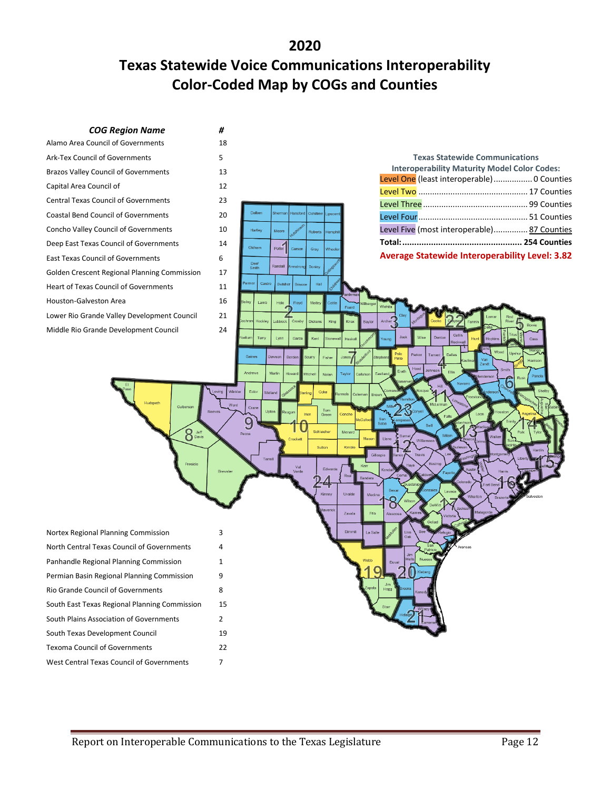**2020**

## **Texas Statewide Voice Communications Interoperability Color-Coded Map by COGs and Counties**

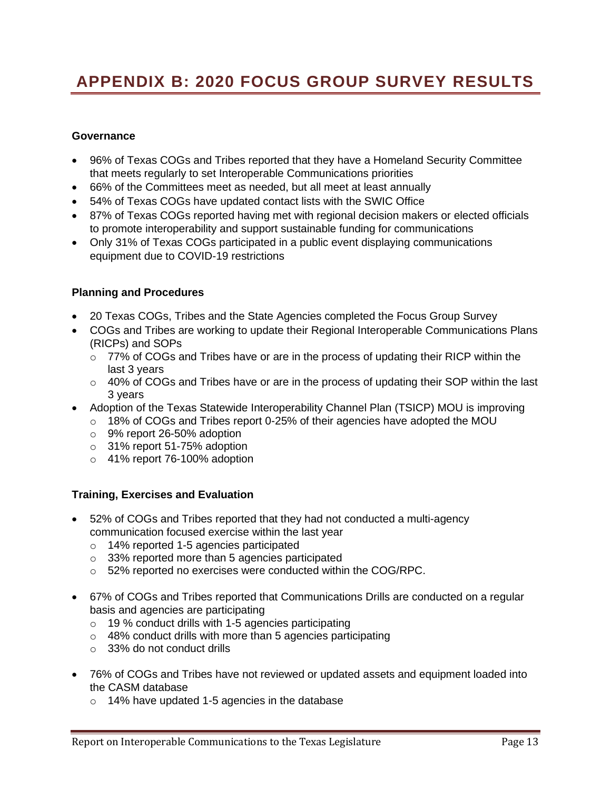## **APPENDIX B: 2020 FOCUS GROUP SURVEY RESULTS**

#### **Governance**

- 96% of Texas COGs and Tribes reported that they have a Homeland Security Committee that meets regularly to set Interoperable Communications priorities
- 66% of the Committees meet as needed, but all meet at least annually
- 54% of Texas COGs have updated contact lists with the SWIC Office
- 87% of Texas COGs reported having met with regional decision makers or elected officials to promote interoperability and support sustainable funding for communications
- Only 31% of Texas COGs participated in a public event displaying communications equipment due to COVID-19 restrictions

#### **Planning and Procedures**

- 20 Texas COGs, Tribes and the State Agencies completed the Focus Group Survey
- COGs and Tribes are working to update their Regional Interoperable Communications Plans (RICPs) and SOPs
	- o 77% of COGs and Tribes have or are in the process of updating their RICP within the last 3 years
	- $\circ$  40% of COGs and Tribes have or are in the process of updating their SOP within the last 3 years
- Adoption of the Texas Statewide Interoperability Channel Plan (TSICP) MOU is improving
	- o 18% of COGs and Tribes report 0-25% of their agencies have adopted the MOU
	- o 9% report 26-50% adoption
	- o 31% report 51-75% adoption
	- o 41% report 76-100% adoption

#### **Training, Exercises and Evaluation**

- 52% of COGs and Tribes reported that they had not conducted a multi-agency communication focused exercise within the last year
	- o 14% reported 1-5 agencies participated
	- o 33% reported more than 5 agencies participated
	- o 52% reported no exercises were conducted within the COG/RPC.
- 67% of COGs and Tribes reported that Communications Drills are conducted on a regular basis and agencies are participating
	- o 19 % conduct drills with 1-5 agencies participating
	- o 48% conduct drills with more than 5 agencies participating
	- o 33% do not conduct drills
- 76% of COGs and Tribes have not reviewed or updated assets and equipment loaded into the CASM database
	- o 14% have updated 1-5 agencies in the database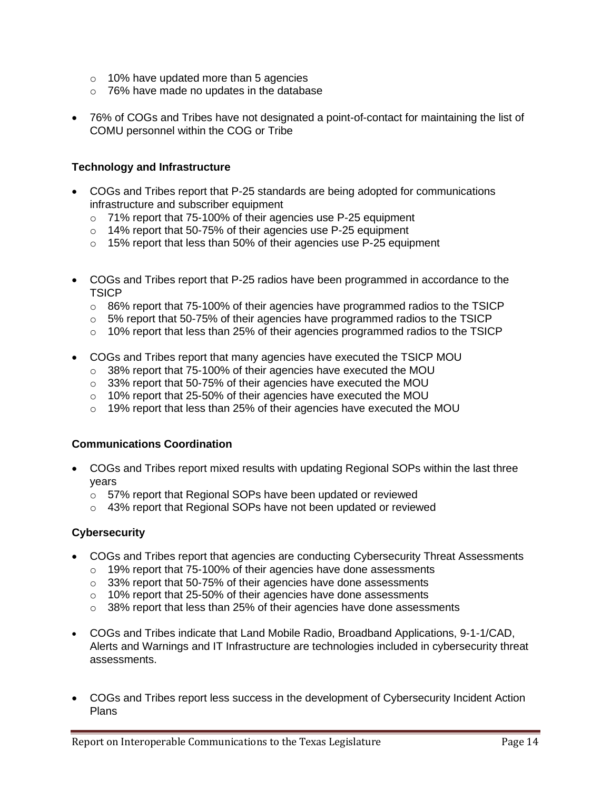- o 10% have updated more than 5 agencies
- o 76% have made no updates in the database
- 76% of COGs and Tribes have not designated a point-of-contact for maintaining the list of COMU personnel within the COG or Tribe

#### **Technology and Infrastructure**

- COGs and Tribes report that P-25 standards are being adopted for communications infrastructure and subscriber equipment
	- o 71% report that 75-100% of their agencies use P-25 equipment
	- o 14% report that 50-75% of their agencies use P-25 equipment
	- o 15% report that less than 50% of their agencies use P-25 equipment
- COGs and Tribes report that P-25 radios have been programmed in accordance to the **TSICP** 
	- $\circ$  86% report that 75-100% of their agencies have programmed radios to the TSICP
	- $\circ$  5% report that 50-75% of their agencies have programmed radios to the TSICP
	- $\circ$  10% report that less than 25% of their agencies programmed radios to the TSICP
- COGs and Tribes report that many agencies have executed the TSICP MOU
	- o 38% report that 75-100% of their agencies have executed the MOU
	- o 33% report that 50-75% of their agencies have executed the MOU
	- o 10% report that 25-50% of their agencies have executed the MOU
	- o 19% report that less than 25% of their agencies have executed the MOU

#### **Communications Coordination**

- COGs and Tribes report mixed results with updating Regional SOPs within the last three years
	- o 57% report that Regional SOPs have been updated or reviewed
	- o 43% report that Regional SOPs have not been updated or reviewed

#### **Cybersecurity**

- COGs and Tribes report that agencies are conducting Cybersecurity Threat Assessments
	- o 19% report that 75-100% of their agencies have done assessments
	- o 33% report that 50-75% of their agencies have done assessments
	- o 10% report that 25-50% of their agencies have done assessments
	- o 38% report that less than 25% of their agencies have done assessments
- COGs and Tribes indicate that Land Mobile Radio, Broadband Applications, 9-1-1/CAD, Alerts and Warnings and IT Infrastructure are technologies included in cybersecurity threat assessments.
- COGs and Tribes report less success in the development of Cybersecurity Incident Action Plans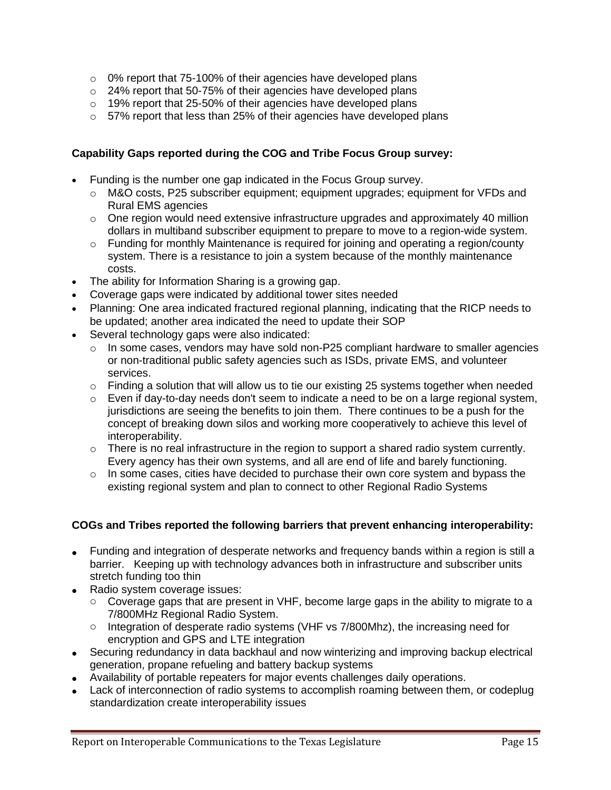- o 0% report that 75-100% of their agencies have developed plans
- o 24% report that 50-75% of their agencies have developed plans
- o 19% report that 25-50% of their agencies have developed plans
- o 57% report that less than 25% of their agencies have developed plans

#### **Capability Gaps reported during the COG and Tribe Focus Group survey:**

- Funding is the number one gap indicated in the Focus Group survey.
	- $\circ$  M&O costs, P25 subscriber equipment; equipment upgrades; equipment for VFDs and Rural EMS agencies
	- $\circ$  One region would need extensive infrastructure upgrades and approximately 40 million dollars in multiband subscriber equipment to prepare to move to a region-wide system.
	- o Funding for monthly Maintenance is required for joining and operating a region/county system. There is a resistance to join a system because of the monthly maintenance costs.
- The ability for Information Sharing is a growing gap.
- Coverage gaps were indicated by additional tower sites needed
- Planning: One area indicated fractured regional planning, indicating that the RICP needs to be updated; another area indicated the need to update their SOP
- Several technology gaps were also indicated:
	- $\circ$  In some cases, vendors may have sold non-P25 compliant hardware to smaller agencies or non-traditional public safety agencies such as ISDs, private EMS, and volunteer services.
	- $\circ$  Finding a solution that will allow us to tie our existing 25 systems together when needed
	- $\circ$  Even if day-to-day needs don't seem to indicate a need to be on a large regional system, jurisdictions are seeing the benefits to join them. There continues to be a push for the concept of breaking down silos and working more cooperatively to achieve this level of interoperability.
	- $\circ$  There is no real infrastructure in the region to support a shared radio system currently. Every agency has their own systems, and all are end of life and barely functioning.
	- $\circ$  In some cases, cities have decided to purchase their own core system and bypass the existing regional system and plan to connect to other Regional Radio Systems

#### **COGs and Tribes reported the following barriers that prevent enhancing interoperability:**

- Funding and integration of desperate networks and frequency bands within a region is still a barrier. Keeping up with technology advances both in infrastructure and subscriber units stretch funding too thin
- Radio system coverage issues:
	- $\circ$  Coverage gaps that are present in VHF, become large gaps in the ability to migrate to a 7/800MHz Regional Radio System.
	- o Integration of desperate radio systems (VHF vs 7/800Mhz), the increasing need for encryption and GPS and LTE integration
- Securing redundancy in data backhaul and now winterizing and improving backup electrical generation, propane refueling and battery backup systems
- Availability of portable repeaters for major events challenges daily operations.
- Lack of interconnection of radio systems to accomplish roaming between them, or codeplug standardization create interoperability issues